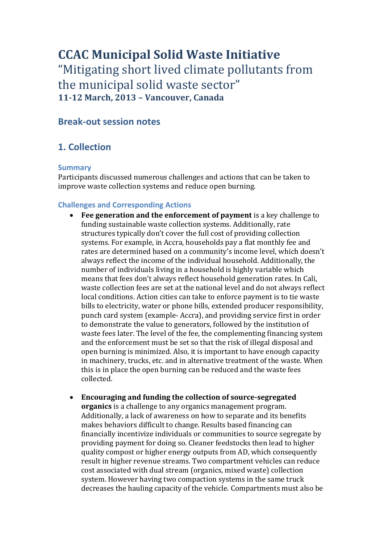# **CCAC Municipal Solid Waste Initiative**  "Mitigating short lived climate pollutants from the municipal solid waste sector" **11-12 March, 2013 – Vancouver, Canada**

## **Break-out session notes**

# **1. Collection**

#### **Summary**

Participants discussed numerous challenges and actions that can be taken to improve waste collection systems and reduce open burning.

#### **Challenges and Corresponding Actions**

- **Fee generation and the enforcement of payment** is a key challenge to funding sustainable waste collection systems. Additionally, rate structures typically don't cover the full cost of providing collection systems. For example, in Accra, households pay a flat monthly fee and rates are determined based on a community's income level, which doesn't always reflect the income of the individual household. Additionally, the number of individuals living in a household is highly variable which means that fees don't always reflect household generation rates. In Cali, waste collection fees are set at the national level and do not always reflect local conditions. Action cities can take to enforce payment is to tie waste bills to electricity, water or phone bills, extended producer responsibility, punch card system (example- Accra), and providing service first in order to demonstrate the value to generators, followed by the institution of waste fees later. The level of the fee, the complementing financing system and the enforcement must be set so that the risk of illegal disposal and open burning is minimized. Also, it is important to have enough capacity in machinery, trucks, etc. and in alternative treatment of the waste. When this is in place the open burning can be reduced and the waste fees collected.
- **Encouraging and funding the collection of source-segregated organics** is a challenge to any organics management program. Additionally, a lack of awareness on how to separate and its benefits makes behaviors difficult to change. Results based financing can financially incentivize individuals or communities to source segregate by providing payment for doing so. Cleaner feedstocks then lead to higher quality compost or higher energy outputs from AD, which consequently result in higher revenue streams. Two compartment vehicles can reduce cost associated with dual stream (organics, mixed waste) collection system. However having two compaction systems in the same truck decreases the hauling capacity of the vehicle. Compartments must also be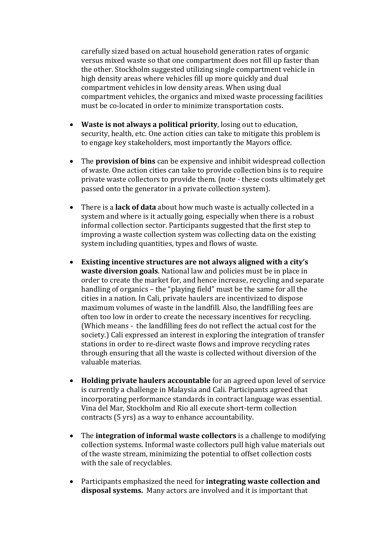carefully sized based on actual household generation rates of organic versus mixed waste so that one compartment does not fill up faster than the other. Stockholm suggested utilizing single compartment vehicle in high density areas where vehicles fill up more quickly and dual compartment vehicles in low density areas. When using dual compartment vehicles, the organics and mixed waste processing facilities must be co-located in order to minimize transportation costs.

- **Waste is not always a political priority**, losing out to education, security, health, etc. One action cities can take to mitigate this problem is to engage key stakeholders, most importantly the Mayors office.
- The **provision of bins** can be expensive and inhibit widespread collection of waste. One action cities can take to provide collection bins is to require private waste collectors to provide them. (note - these costs ultimately get passed onto the generator in a private collection system).
- There is a **lack of data** about how much waste is actually collected in a system and where is it actually going, especially when there is a robust informal collection sector. Participants suggested that the first step to improving a waste collection system was collecting data on the existing system including quantities, types and flows of waste.
- **Existing incentive structures are not always aligned with a city's waste diversion goals**. National law and policies must be in place in order to create the market for, and hence increase, recycling and separate handling of organics – the "playing field" must be the same for all the cities in a nation. In Cali, private haulers are incentivized to dispose maximum volumes of waste in the landfill. Also, the landfilling fees are often too low in order to create the necessary incentives for recycling. (Which means - the landfilling fees do not reflect the actual cost for the society.) Cali expressed an interest in exploring the integration of transfer stations in order to re-direct waste flows and improve recycling rates through ensuring that all the waste is collected without diversion of the valuable materias.
- **Holding private haulers accountable** for an agreed upon level of service is currently a challenge in Malaysia and Cali. Participants agreed that incorporating performance standards in contract language was essential. Vina del Mar, Stockholm and Rio all execute short-term collection contracts (5 yrs) as a way to enhance accountability.
- The **integration of informal waste collectors** is a challenge to modifying collection systems. Informal waste collectors pull high value materials out of the waste stream, minimizing the potential to offset collection costs with the sale of recyclables.
- Participants emphasized the need for **integrating waste collection and disposal systems.** Many actors are involved and it is important that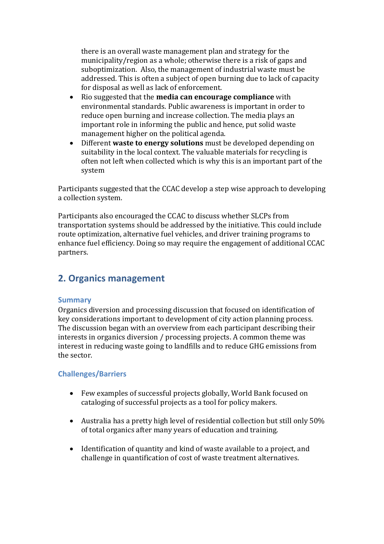there is an overall waste management plan and strategy for the municipality/region as a whole; otherwise there is a risk of gaps and suboptimization. Also, the management of industrial waste must be addressed. This is often a subject of open burning due to lack of capacity for disposal as well as lack of enforcement.

- Rio suggested that the **media can encourage compliance** with environmental standards. Public awareness is important in order to reduce open burning and increase collection. The media plays an important role in informing the public and hence, put solid waste management higher on the political agenda.
- Different **waste to energy solutions** must be developed depending on suitability in the local context. The valuable materials for recycling is often not left when collected which is why this is an important part of the system

Participants suggested that the CCAC develop a step wise approach to developing a collection system.

Participants also encouraged the CCAC to discuss whether SLCPs from transportation systems should be addressed by the initiative. This could include route optimization, alternative fuel vehicles, and driver training programs to enhance fuel efficiency. Doing so may require the engagement of additional CCAC partners.

### **2. Organics management**

#### **Summary**

Organics diversion and processing discussion that focused on identification of key considerations important to development of city action planning process. The discussion began with an overview from each participant describing their interests in organics diversion / processing projects. A common theme was interest in reducing waste going to landfills and to reduce GHG emissions from the sector.

#### **Challenges/Barriers**

- Few examples of successful projects globally, World Bank focused on cataloging of successful projects as a tool for policy makers.
- Australia has a pretty high level of residential collection but still only 50% of total organics after many years of education and training.
- Identification of quantity and kind of waste available to a project, and challenge in quantification of cost of waste treatment alternatives.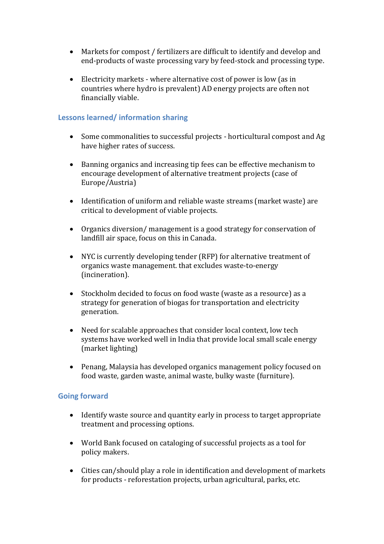- Markets for compost / fertilizers are difficult to identify and develop and end-products of waste processing vary by feed-stock and processing type.
- Electricity markets where alternative cost of power is low (as in countries where hydro is prevalent) AD energy projects are often not financially viable.

#### **Lessons learned/ information sharing**

- Some commonalities to successful projects horticultural compost and Ag have higher rates of success.
- Banning organics and increasing tip fees can be effective mechanism to encourage development of alternative treatment projects (case of Europe/Austria)
- Identification of uniform and reliable waste streams (market waste) are critical to development of viable projects.
- Organics diversion/ management is a good strategy for conservation of landfill air space, focus on this in Canada.
- NYC is currently developing tender (RFP) for alternative treatment of organics waste management. that excludes waste-to-energy (incineration).
- Stockholm decided to focus on food waste (waste as a resource) as a strategy for generation of biogas for transportation and electricity generation.
- Need for scalable approaches that consider local context, low tech systems have worked well in India that provide local small scale energy (market lighting)
- Penang, Malaysia has developed organics management policy focused on food waste, garden waste, animal waste, bulky waste (furniture).

#### **Going forward**

- Identify waste source and quantity early in process to target appropriate treatment and processing options.
- World Bank focused on cataloging of successful projects as a tool for policy makers.
- Cities can/should play a role in identification and development of markets for products - reforestation projects, urban agricultural, parks, etc.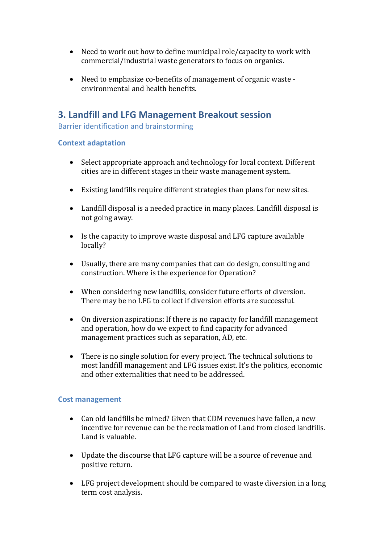- Need to work out how to define municipal role/capacity to work with commercial/industrial waste generators to focus on organics.
- Need to emphasize co-benefits of management of organic waste environmental and health benefits.

# **3. Landfill and LFG Management Breakout session**

Barrier identification and brainstorming

#### **Context adaptation**

- Select appropriate approach and technology for local context. Different cities are in different stages in their waste management system.
- Existing landfills require different strategies than plans for new sites.
- Landfill disposal is a needed practice in many places. Landfill disposal is not going away.
- Is the capacity to improve waste disposal and LFG capture available locally?
- Usually, there are many companies that can do design, consulting and construction. Where is the experience for Operation?
- When considering new landfills, consider future efforts of diversion. There may be no LFG to collect if diversion efforts are successful.
- On diversion aspirations: If there is no capacity for landfill management and operation, how do we expect to find capacity for advanced management practices such as separation, AD, etc.
- There is no single solution for every project. The technical solutions to most landfill management and LFG issues exist. It's the politics, economic and other externalities that need to be addressed.

#### **Cost management**

- Can old landfills be mined? Given that CDM revenues have fallen, a new incentive for revenue can be the reclamation of Land from closed landfills. Land is valuable.
- Update the discourse that LFG capture will be a source of revenue and positive return.
- LFG project development should be compared to waste diversion in a long term cost analysis.